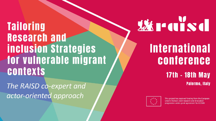**Tailoring Research and inclusion Strategies** for vulnerable migrant **contexts** 

The RAISD co-expert and actor-oriented approach

# **WEITERS**

# **International** conference

### **17th - 18th May Palermo, Italy**



This project has received funding from the European Union's Horizon 2020 research and innovation programme under grant agreement No 822688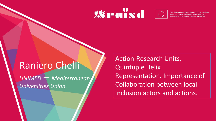# *W*realsd



This project has received funding from the European Union's Horizon 2020 research and innovation programme under grant agreement No 822688

# Raniero Chelli

*UNIMED* – *Mediterranean Universities Union.*

Action-Research Units, Quintuple Helix Representation. Importance of Collaboration between local inclusion actors and actions.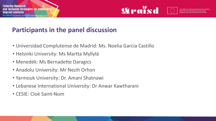

## **Participants in the panel discussion**

- Universidad Complutense de Madrid: Ms. Noelia García Castillo
- Helsinki University: Ms Martta Myllylä
- Menedék: Ms Bernadette Daragics
- Anadolu University: Mr Nezih Orhon
- Yarmouk University: Dr. Amani Shatnawi
- Lebanese International University: Dr Anwar Kawtharani
- CESIE: Cloè Saint-Nom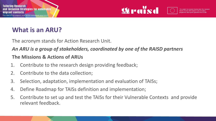

# **What is an ARU?**

The acronym stands for Action Research Unit.

#### *An ARU is a group of stakeholders, coordinated by one of the RAISD partners*

#### **The Missions & Actions of ARUs**

- 1. Contribute to the research design providing feedback;
- 2. Contribute to the data collection;
- 3. Selection, adaptation, implementation and evaluation of TAISs;
- 4. Define Roadmap for TAISs definition and implementation;
- 5. Contribute to set up and test the TAISs for their Vulnerable Contexts and provide relevant feedback.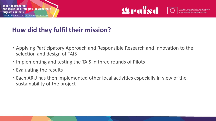

# **How did they fulfil their mission?**

- Applying Participatory Approach and Responsible Research and Innovation to the selection and design of TAIS
- Implementing and testing the TAIS in three rounds of Pilots
- Evaluating the results
- Each ARU has then implemented other local activities especially in view of the sustainability of the project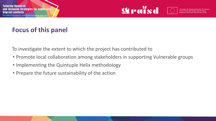

# **Focus of this panel**

To investigate the extent to which the project has contributed to

- Promote local collaboration among stakeholders in supporting Vulnerable groups
- Implementing the Quintuple Helix methodology
- Prepare the future sustainability of the action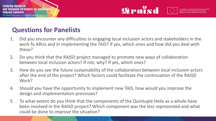



# **Questions for Panelists**

- 1. Did you encounter any difficulties in engaging local inclusion actors and stakeholders in the work fo ARUs and in implementing the TAIS? If yes, which ones and how did you deal with these?
- 2. Do you think that the RAISD project managed to promote new ways of collaboration between local inclusion actors? If not, why? If yes, which ones?
- 3. How do you see the future sustainability of the collaboration between local inclusion actors after the end of the project? Which factors could facilitate the continuation of the RAISD Work?
- 4. Should you have the opportunity to implement new TAIS, how would you improve the design and implementation processes?
- 5. To what extent do you think that the components of the Quintuple Helix as a whole have been involved in the RAISD project? Which component was the less represented and what could be done to improve the situation?